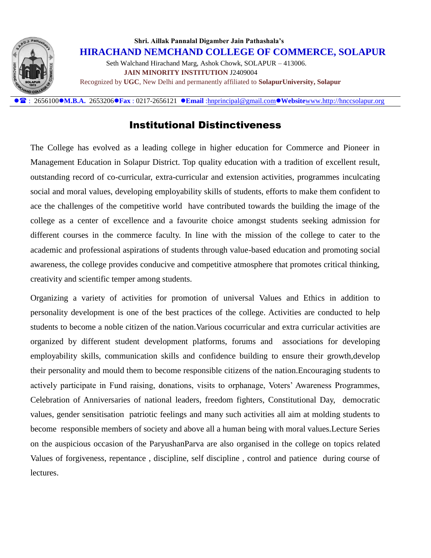

 **Shri. Aillak Pannalal Digamber Jain Pathashala's HIRACHAND NEMCHAND COLLEGE OF COMMERCE, SOLAPUR** Seth Walchand Hirachand Marg, Ashok Chowk, SOLAPUR – 413006.  **JAIN MINORITY INSTITUTION** J2409004 Recognized by **UGC**, New Delhi and permanently affiliated to **SolapurUniversity, Solapur**

: 2656100**M.B.A.** 2653206**Fax** : 0217-2656121 **Email** [:hnprincipal@gmail.com](mailto:hnprincipal@gmail.com)**Website**[www.http://hnccsolapur.org](http://www.http/hnccsolapur.org)

## Institutional Distinctiveness

The College has evolved as a leading college in higher education for Commerce and Pioneer in Management Education in Solapur District. Top quality education with a tradition of excellent result, outstanding record of co-curricular, extra-curricular and extension activities, programmes inculcating social and moral values, developing employability skills of students, efforts to make them confident to ace the challenges of the competitive world have contributed towards the building the image of the college as a center of excellence and a favourite choice amongst students seeking admission for different courses in the commerce faculty. In line with the mission of the college to cater to the academic and professional aspirations of students through value-based education and promoting social awareness, the college provides conducive and competitive atmosphere that promotes critical thinking, creativity and scientific temper among students.

Organizing a variety of activities for promotion of universal Values and Ethics in addition to personality development is one of the best practices of the college. Activities are conducted to help students to become a noble citizen of the nation.Various cocurricular and extra curricular activities are organized by different student development platforms, forums and associations for developing employability skills, communication skills and confidence building to ensure their growth,develop their personality and mould them to become responsible citizens of the nation.Encouraging students to actively participate in Fund raising, donations, visits to orphanage, Voters' Awareness Programmes, Celebration of Anniversaries of national leaders, freedom fighters, Constitutional Day, democratic values, gender sensitisation patriotic feelings and many such activities all aim at molding students to become responsible members of society and above all a human being with moral values.Lecture Series on the auspicious occasion of the ParyushanParva are also organised in the college on topics related Values of forgiveness, repentance , discipline, self discipline , control and patience during course of lectures.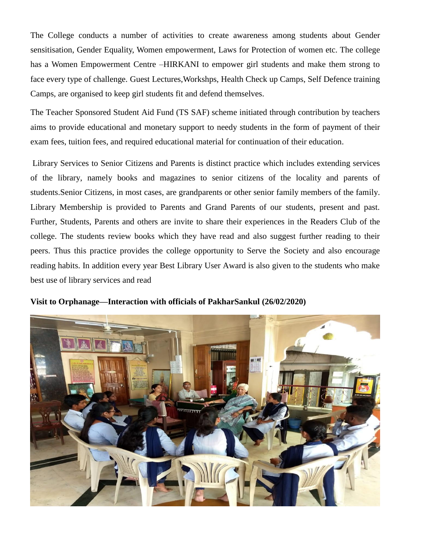The College conducts a number of activities to create awareness among students about Gender sensitisation, Gender Equality, Women empowerment, Laws for Protection of women etc. The college has a Women Empowerment Centre –HIRKANI to empower girl students and make them strong to face every type of challenge. Guest Lectures,Workshps, Health Check up Camps, Self Defence training Camps, are organised to keep girl students fit and defend themselves.

The Teacher Sponsored Student Aid Fund (TS SAF) scheme initiated through contribution by teachers aims to provide educational and monetary support to needy students in the form of payment of their exam fees, tuition fees, and required educational material for continuation of their education.

Library Services to Senior Citizens and Parents is distinct practice which includes extending services of the library, namely books and magazines to senior citizens of the locality and parents of students.Senior Citizens, in most cases, are grandparents or other senior family members of the family. Library Membership is provided to Parents and Grand Parents of our students, present and past. Further, Students, Parents and others are invite to share their experiences in the Readers Club of the college. The students review books which they have read and also suggest further reading to their peers. Thus this practice provides the college opportunity to Serve the Society and also encourage reading habits. In addition every year Best Library User Award is also given to the students who make best use of library services and read



**Visit to Orphanage—Interaction with officials of PakharSankul (26/02/2020)**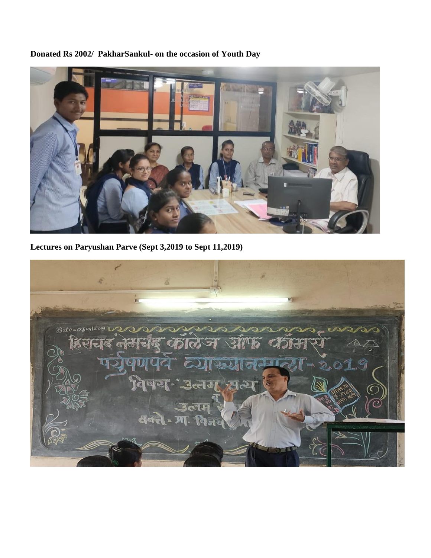

**Donated Rs 2002/ PakharSankul- on the occasion of Youth Day**

**Lectures on Paryushan Parve (Sept 3,2019 to Sept 11,2019)**

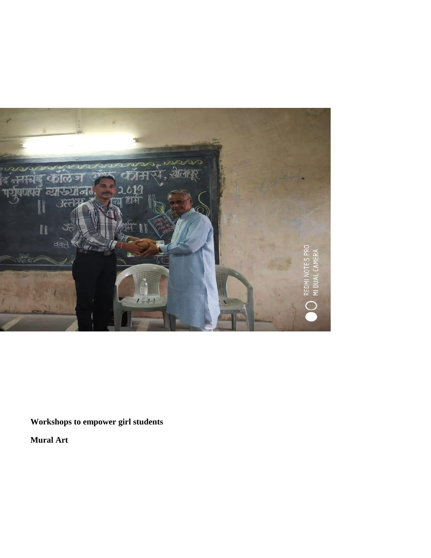

**Workshops to empower girl students**

**Mural Art**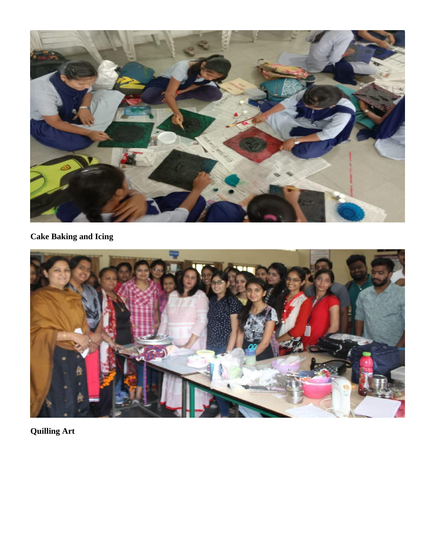

## **Cake Baking and Icing**



**Quilling Art**